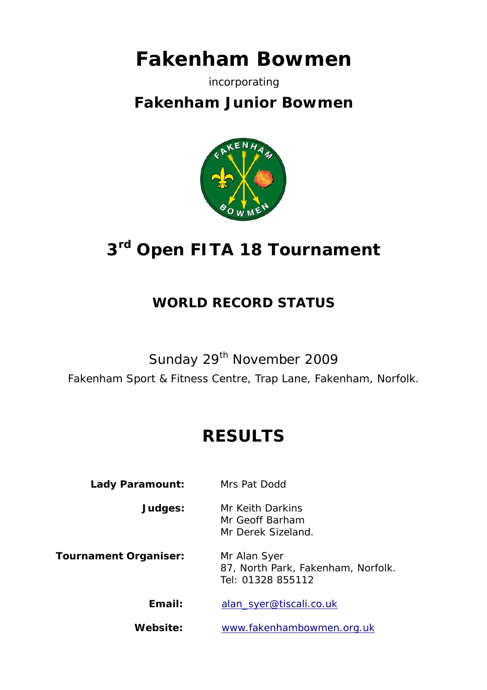# **Fakenham Bowmen**

### incorporating

## **Fakenham Junior Bowmen**



# **3rd Open FITA 18 Tournament**

### **WORLD RECORD STATUS**

## Sunday 29<sup>th</sup> November 2009

Fakenham Sport & Fitness Centre, Trap Lane, Fakenham, Norfolk.

## **RESULTS**

### Lady Paramount: Mrs Pat Dodd

**Judges:** Mr Keith Darkins Mr Geoff Barham Mr Derek Sizeland.

**Tournament Organiser:** Mr Alan Syer

 87, North Park, Fakenham, Norfolk. Tel: 01328 855112

**Email:** alan\_syer@tiscali.co.uk

**Website:** www.fakenhambowmen.org.uk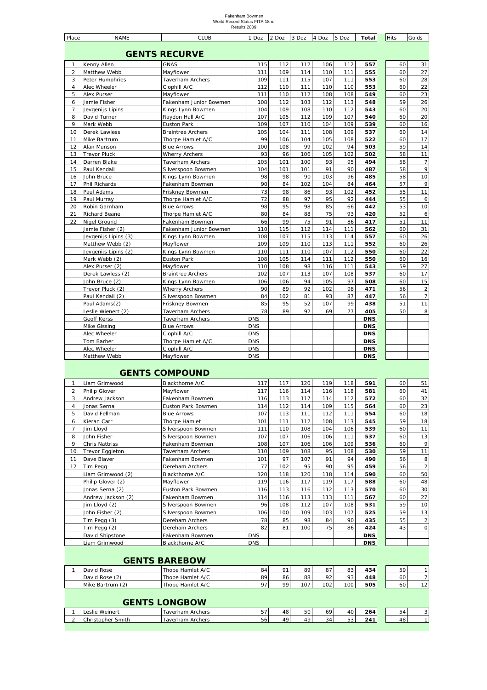## Fakenham Bowmen World Record Status FITA 18m: Results 2009

| Place          | <b>NAME</b>          | <b>CLUB</b>              | 1 Doz      | 2 Doz | 3 Doz | 4 Doz | 5 Doz | Total      | <b>Hits</b> |    | Golds          |
|----------------|----------------------|--------------------------|------------|-------|-------|-------|-------|------------|-------------|----|----------------|
|                |                      | <b>GENTS RECURVE</b>     |            |       |       |       |       |            |             |    |                |
| $\mathbf{1}$   | Kenny Allen          | <b>GNAS</b>              | 115        | 112   | 112   | 106   | 112   | 557        |             | 60 | 31             |
| $\overline{2}$ | Matthew Webb         | Mayflower                | 111        | 109   | 114   | 110   | 111   | 555        |             | 60 | 27             |
| 3              | Peter Humphries      | <b>Taverham Archers</b>  | 109        | 111   | 115   | 107   | 111   | 553        |             | 60 | 28             |
| $\overline{4}$ | Alec Wheeler         | Clophill A/C             | 112        | 110   | 111   | 110   | 110   | 553        |             | 60 | 22             |
| 5              | Alex Purser          | Mayflower                | 111        | 110   | 112   | 108   | 108   | 549        |             | 60 | 23             |
| 6              | Jamie Fisher         | Fakenham Junior Bowmen   | 108        | 112   | 103   | 112   | 113   | 548        |             | 59 | 26             |
| $\overline{7}$ | Jevgenijs Lipins     | Kings Lynn Bowmen        | 104        | 109   | 108   | 110   | 112   | 543        |             | 60 | 20             |
| 8              | David Turner         | Raydon Hall A/C          | 107        | 105   | 112   | 109   | 107   | 540        |             | 60 | 20             |
| 9              | Mark Webb            | Euston Park              | 109        | 107   | 110   | 104   | 109   | 539        |             | 60 | 16             |
| 10             | Derek Lawless        | <b>Braintree Archers</b> | 105        | 104   | 111   | 108   | 109   | 537        |             | 60 | 14             |
| 11             | Mike Bartrum         | Thorpe Hamlet A/C        | 99         | 106   | 104   | 105   | 108   | 522        |             | 60 | 17             |
| 12             | Alan Munson          | <b>Blue Arrows</b>       | 100        | 108   | 99    | 102   | 94    | 503        |             | 59 | 14             |
| 13             | <b>Trevor Pluck</b>  | <b>Wherry Archers</b>    | 93         | 96    | 106   | 105   | 102   | 502        |             | 58 | 11             |
| 14             | Darren Blake         | Taverham Archers         | 105        | 101   | 100   | 93    | 95    | 494        |             | 58 | $\overline{7}$ |
| 15             | Paul Kendall         | Silverspoon Bowmen       | 104        | 101   | 101   | 91    | 90    | 487        |             | 58 | 9              |
| 16             | John Bruce           | Kings Lynn Bowmen        | 98         | 98    | 90    | 103   | 96    | 485        |             | 58 | 10             |
| 17             | Phil Richards        | Fakenham Bowmen          | 90         | 84    | 102   | 104   | 84    | 464        |             | 57 | 9              |
| 18             | Paul Adams           | Friskney Bowmen          | 73         | 98    | 86    | 93    | 102   | 452        |             | 55 | 11             |
| 19             | Paul Murray          | Thorpe Hamlet A/C        | 72         | 88    | 97    | 95    | 92    | 444        |             | 55 | 6              |
| 20             | Robin Garnham        | <b>Blue Arrows</b>       | 98         | 95    | 98    | 85    | 66    | 442        |             | 53 | 10             |
| 21             | Richard Beane        | Thorpe Hamlet A/C        | 80         | 84    | 88    | 75    | 93    | 420        |             | 52 | 6              |
| 22             | Nigel Ground         | Fakenham Bowmen          | 66         | 99    | 75    | 91    | 86    | 417        |             | 51 | 11             |
|                | Jamie Fisher (2)     | Fakenham Junior Bowmen   | 110        | 115   | 112   | 114   | 111   | 562        |             | 60 | 31             |
|                | Jevgenijs Lipins (3) | Kings Lynn Bowmen        | 108        | 107   | 115   | 113   | 114   | 557        |             | 60 | 26             |
|                | Matthew Webb (2)     | Mayflower                | 109        | 109   | 110   | 113   | 111   | 552        |             | 60 | 26             |
|                | Jevgenijs Lipins (2) | Kings Lynn Bowmen        | 110        | 111   | 110   | 107   | 112   | 550        |             | 60 | 22             |
|                | Mark Webb (2)        | <b>Euston Park</b>       | 108        | 105   | 114   | 111   | 112   | 550        |             | 60 | 16             |
|                | Alex Purser (2)      | Mayflower                | 110        | 108   | 98    | 116   | 111   | 543        |             | 59 | 27             |
|                | Derek Lawless (2)    | <b>Braintree Archers</b> | 102        | 107   | 113   | 107   | 108   | 537        |             | 60 | 17             |
|                | John Bruce (2)       | Kings Lynn Bowmen        | 106        | 106   | 94    | 105   | 97    | 508        |             | 60 | 15             |
|                | Trevor Pluck (2)     | <b>Wherry Archers</b>    | 90         | 89    | 92    | 102   | 98    | 471        |             | 56 | $\overline{a}$ |
|                | Paul Kendall (2)     | Silverspoon Bowmen       | 84         | 102   | 81    | 93    | 87    | 447        |             | 56 | $\overline{7}$ |
|                | Paul Adams(2)        | Friskney Bowmen          | 85         | 95    | 52    | 107   | 99    | 438        |             | 51 | 11             |
|                | Leslie Wienert (2)   | <b>Taverham Archers</b>  | 78         | 89    | 92    | 69    | 77    | 405        |             | 50 | 8              |
|                | Geoff Kerss          | <b>Taverham Archers</b>  | <b>DNS</b> |       |       |       |       | <b>DNS</b> |             |    |                |
|                | Mike Gissing         | <b>Blue Arrows</b>       | <b>DNS</b> |       |       |       |       | <b>DNS</b> |             |    |                |
|                | Alec Wheeler         | Clophill A/C             | <b>DNS</b> |       |       |       |       | <b>DNS</b> |             |    |                |
|                | Tom Barber           | Thorpe Hamlet A/C        | <b>DNS</b> |       |       |       |       | <b>DNS</b> |             |    |                |
|                | Alec Wheeler         | Clophill A/C             | <b>DNS</b> |       |       |       |       | <b>DNS</b> |             |    |                |
|                | Matthew Webb         | Mayflower                | <b>DNS</b> |       |       |       |       | <b>DNS</b> |             |    |                |

### **GENTS COMPOUND**

|                | Liam Grimwood         | Blackthorne A/C    | 117        | 117 | 120 | 119 | 118 | 591        | 60 | 51             |
|----------------|-----------------------|--------------------|------------|-----|-----|-----|-----|------------|----|----------------|
|                | <b>Philip Glover</b>  | Mayflower          | 117        | 116 | 114 | 116 | 118 | 581        | 60 | 41             |
| 3              | Andrew Jackson        | Fakenham Bowmen    | 116        | 113 | 117 | 114 | 112 | 572        | 60 | 32             |
| $\overline{4}$ | Jonas Serna           | Euston Park Bowmen | 114        | 112 | 114 | 109 | 115 | 564        | 60 | 23             |
| 5              | David Fellman         | <b>Blue Arrows</b> | 107        | 113 | 111 | 112 | 111 | 554        | 60 | 18             |
| 6              | Kieran Carr           | Thorpe Hamlet      | 101        | 111 | 112 | 108 | 113 | 545        | 59 | 18             |
| $\overline{7}$ | Jim Lloyd             | Silverspoon Bowmen | 111        | 110 | 108 | 104 | 106 | 539        | 60 | 11             |
| 8              | John Fisher           | Silverspoon Bowmen | 107        | 107 | 106 | 106 | 111 | 537        | 60 | 13             |
| 9              | <b>Chris Nattriss</b> | Fakenham Bowmen    | 108        | 107 | 106 | 106 | 109 | 536        | 60 | 9              |
| 10             | Trevor Eggleton       | Taverham Archers   | 110        | 109 | 108 | 95  | 108 | <b>530</b> | 59 | 11             |
| 11             | Dave Blaver           | Fakenham Bowmen    | 101        | 97  | 107 | 91  | 94  | 490        | 56 | 8              |
| 12             | Tim Pegg              | Dereham Archers    | 77         | 102 | 95  | 90  | 95  | 459        | 56 | $\overline{c}$ |
|                | Liam Grimwood (2)     | Blackthorne A/C    | 120        | 118 | 120 | 118 | 114 | 590        | 60 | 50             |
|                | Philip Glover (2)     | Mayflower          | 119        | 116 | 117 | 119 | 117 | 588        | 60 | 48             |
|                | Jonas Serna (2)       | Euston Park Bowmen | 116        | 113 | 116 | 112 | 113 | 570        | 60 | 30             |
|                | Andrew Jackson (2)    | Fakenham Bowmen    | 114        | 116 | 113 | 113 | 111 | 567        | 60 | 27             |
|                | Jim Lloyd (2)         | Silverspoon Bowmen | 96         | 108 | 112 | 107 | 108 | 531        | 59 | 10             |
|                | John Fisher (2)       | Silverspoon Bowmen | 106        | 100 | 109 | 103 | 107 | 525        | 59 | 13             |
|                | Tim Pegg (3)          | Dereham Archers    | 78         | 85  | 98  | 84  | 90  | 435        | 55 | $\overline{c}$ |
|                | Tim Pegg (2)          | Dereham Archers    | 82         | 81  | 100 | 75  | 86  | 424        | 43 | 0              |
|                | David Shipstone       | Fakenham Bowmen    | <b>DNS</b> |     |     |     |     | <b>DNS</b> |    |                |
|                | Liam Grimwood         | Blackthorne A/C    | <b>DNS</b> |     |     |     |     | <b>DNS</b> |    |                |

#### **GENTS BAREBOW**

| David Rose       | Thope Hamlet A/C        | 84             | 01 | 89               | 87  | 83  | 434 | 591 |    |
|------------------|-------------------------|----------------|----|------------------|-----|-----|-----|-----|----|
| David Rose (2)   | Thope Hamlet A/C        | 89             | 86 | 88               | 92  | 93  | 448 | 60  |    |
| Mike Bartrum (2) | Thope Hamlet A/C        | O <sub>7</sub> | 99 | 107 <sub>1</sub> | 102 | 100 | 505 | 60  | 12 |
|                  | <b>GENTS LONGBOW</b>    |                |    |                  |     |     |     |     |    |
| Leslie Weinert   | <b>Taverham Archers</b> |                | 48 | 50               | 69  | 40  | 264 | 54  | 3  |

2 Christopher Smith Taverham Archers 56 49 49 34 53 **241** 48 1